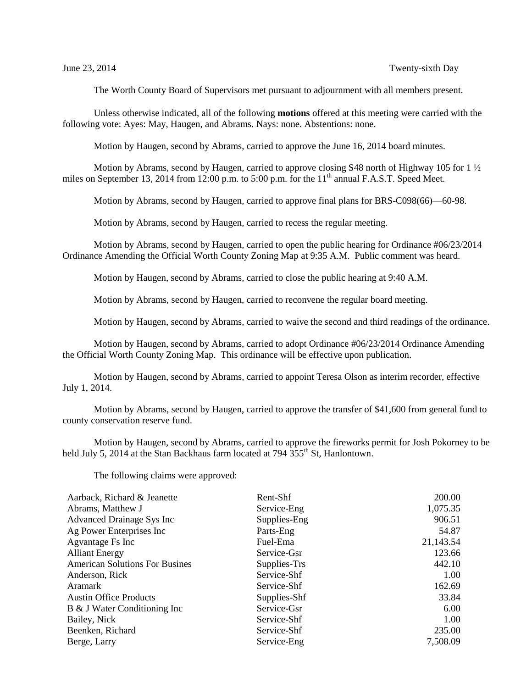The Worth County Board of Supervisors met pursuant to adjournment with all members present.

Unless otherwise indicated, all of the following **motions** offered at this meeting were carried with the following vote: Ayes: May, Haugen, and Abrams. Nays: none. Abstentions: none.

Motion by Haugen, second by Abrams, carried to approve the June 16, 2014 board minutes.

Motion by Abrams, second by Haugen, carried to approve closing S48 north of Highway 105 for 1  $\frac{1}{2}$ miles on September 13, 2014 from 12:00 p.m. to 5:00 p.m. for the  $11<sup>th</sup>$  annual F.A.S.T. Speed Meet.

Motion by Abrams, second by Haugen, carried to approve final plans for BRS-C098(66)—60-98.

Motion by Abrams, second by Haugen, carried to recess the regular meeting.

Motion by Abrams, second by Haugen, carried to open the public hearing for Ordinance #06/23/2014 Ordinance Amending the Official Worth County Zoning Map at 9:35 A.M. Public comment was heard.

Motion by Haugen, second by Abrams, carried to close the public hearing at 9:40 A.M.

Motion by Abrams, second by Haugen, carried to reconvene the regular board meeting.

Motion by Haugen, second by Abrams, carried to waive the second and third readings of the ordinance.

Motion by Haugen, second by Abrams, carried to adopt Ordinance #06/23/2014 Ordinance Amending the Official Worth County Zoning Map. This ordinance will be effective upon publication.

Motion by Haugen, second by Abrams, carried to appoint Teresa Olson as interim recorder, effective July 1, 2014.

Motion by Abrams, second by Haugen, carried to approve the transfer of \$41,600 from general fund to county conservation reserve fund.

Motion by Haugen, second by Abrams, carried to approve the fireworks permit for Josh Pokorney to be held July 5, 2014 at the Stan Backhaus farm located at 794 355<sup>th</sup> St, Hanlontown.

The following claims were approved:

| Aarback, Richard & Jeanette           | Rent-Shf     | 200.00    |
|---------------------------------------|--------------|-----------|
| Abrams, Matthew J                     | Service-Eng  | 1,075.35  |
| Advanced Drainage Sys Inc             | Supplies-Eng | 906.51    |
| Ag Power Enterprises Inc              | Parts-Eng    | 54.87     |
| Agvantage Fs Inc                      | Fuel-Ema     | 21,143.54 |
| <b>Alliant Energy</b>                 | Service-Gsr  | 123.66    |
| <b>American Solutions For Busines</b> | Supplies-Trs | 442.10    |
| Anderson, Rick                        | Service-Shf  | 1.00      |
| Aramark                               | Service-Shf  | 162.69    |
| <b>Austin Office Products</b>         | Supplies-Shf | 33.84     |
| B & J Water Conditioning Inc          | Service-Gsr  | 6.00      |
| Bailey, Nick                          | Service-Shf  | 1.00      |
| Beenken, Richard                      | Service-Shf  | 235.00    |
| Berge, Larry                          | Service-Eng  | 7,508.09  |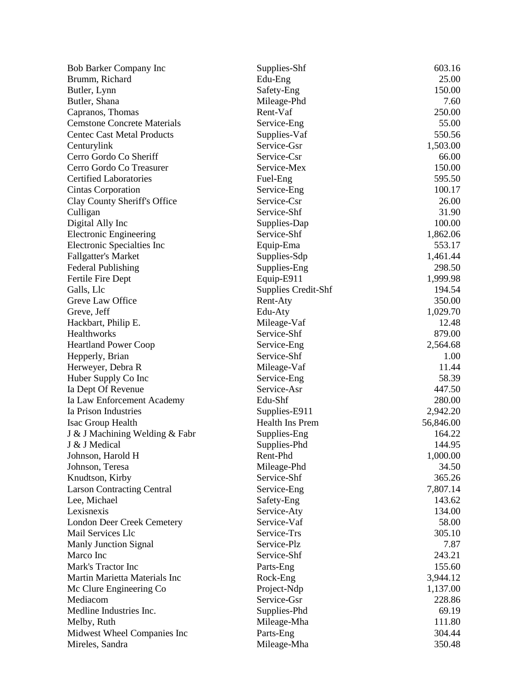| <b>Bob Barker Company Inc</b>       | Supplies-Shf               | 603.16    |
|-------------------------------------|----------------------------|-----------|
| Brumm, Richard                      | Edu-Eng                    | 25.00     |
| Butler, Lynn                        | Safety-Eng                 | 150.00    |
| Butler, Shana                       | Mileage-Phd                | 7.60      |
| Capranos, Thomas                    | Rent-Vaf                   | 250.00    |
| <b>Cemstone Concrete Materials</b>  | Service-Eng                | 55.00     |
| <b>Centec Cast Metal Products</b>   | Supplies-Vaf               | 550.56    |
| Centurylink                         | Service-Gsr                | 1,503.00  |
| Cerro Gordo Co Sheriff              | Service-Csr                | 66.00     |
| Cerro Gordo Co Treasurer            | Service-Mex                | 150.00    |
| <b>Certified Laboratories</b>       | Fuel-Eng                   | 595.50    |
| Cintas Corporation                  | Service-Eng                | 100.17    |
| Clay County Sheriff's Office        | Service-Csr                | 26.00     |
| Culligan                            | Service-Shf                | 31.90     |
| Digital Ally Inc                    | Supplies-Dap               | 100.00    |
| <b>Electronic Engineering</b>       | Service-Shf                | 1,862.06  |
| <b>Electronic Specialties Inc</b>   | Equip-Ema                  | 553.17    |
| <b>Fallgatter's Market</b>          | Supplies-Sdp               | 1,461.44  |
| <b>Federal Publishing</b>           | Supplies-Eng               | 298.50    |
| Fertile Fire Dept                   | Equip-E911                 | 1,999.98  |
| Galls, Llc                          | <b>Supplies Credit-Shf</b> | 194.54    |
| Greve Law Office                    | Rent-Aty                   | 350.00    |
| Greve, Jeff                         | Edu-Aty                    | 1,029.70  |
| Hackbart, Philip E.                 | Mileage-Vaf                | 12.48     |
| Healthworks                         | Service-Shf                | 879.00    |
| <b>Heartland Power Coop</b>         | Service-Eng                | 2,564.68  |
| Hepperly, Brian                     | Service-Shf                | 1.00      |
| Herweyer, Debra R                   | Mileage-Vaf                | 11.44     |
| Huber Supply Co Inc                 | Service-Eng                | 58.39     |
| Ia Dept Of Revenue                  | Service-Asr                | 447.50    |
| Ia Law Enforcement Academy          | Edu-Shf                    | 280.00    |
| Ia Prison Industries                | Supplies-E911              | 2,942.20  |
| Isac Group Health                   | Health Ins Prem            | 56,846.00 |
| J & J Machining Welding & Fabr      | Supplies-Eng               | 164.22    |
| J & J Medical                       | Supplies-Phd               | 144.95    |
| Johnson, Harold H                   | Rent-Phd                   | 1,000.00  |
| Johnson, Teresa                     | Mileage-Phd                | 34.50     |
| Knudtson, Kirby                     | Service-Shf                | 365.26    |
| <b>Larson Contracting Central</b>   | Service-Eng                | 7,807.14  |
| Lee, Michael                        | Safety-Eng                 | 143.62    |
| Lexisnexis                          | Service-Aty                | 134.00    |
| <b>London Deer Creek Cemetery</b>   | Service-Vaf                | 58.00     |
| Mail Services Llc                   | Service-Trs                | 305.10    |
| <b>Manly Junction Signal</b>        | Service-Plz                | 7.87      |
| Marco Inc                           | Service-Shf                | 243.21    |
| Mark's Tractor Inc                  | Parts-Eng                  | 155.60    |
| Martin Marietta Materials Inc       | Rock-Eng                   | 3,944.12  |
|                                     | Project-Ndp                | 1,137.00  |
| Mc Clure Engineering Co<br>Mediacom | Service-Gsr                | 228.86    |
| Medline Industries Inc.             | Supplies-Phd               | 69.19     |
|                                     |                            | 111.80    |
| Melby, Ruth                         | Mileage-Mha                | 304.44    |
| Midwest Wheel Companies Inc         | Parts-Eng                  |           |
| Mireles, Sandra                     | Mileage-Mha                | 350.48    |